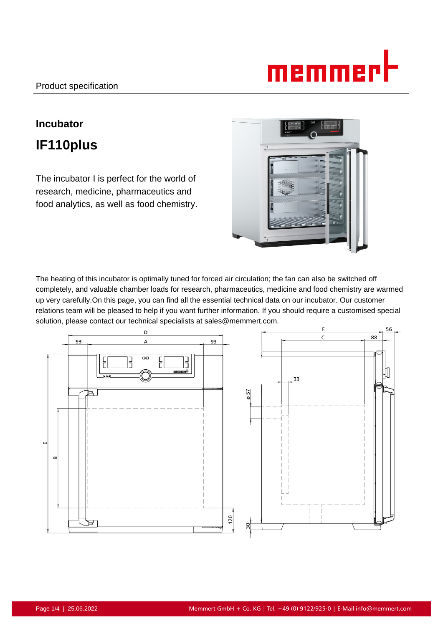# memmer

## **Incubator IF110plus**

The incubator I is perfect for the world of research, medicine, pharmaceutics and food analytics, as well as food chemistry.



The heating of this incubator is optimally tuned for forced air circulation; the fan can also be switched off completely, and valuable chamber loads for research, pharmaceutics, medicine and food chemistry are warmed up very carefully.On this page, you can find all the essential technical data on our incubator. Our customer relations team will be pleased to help if you want further information. If you should require a customised special solution, please contact our technical specialists at sales@memmert.com.

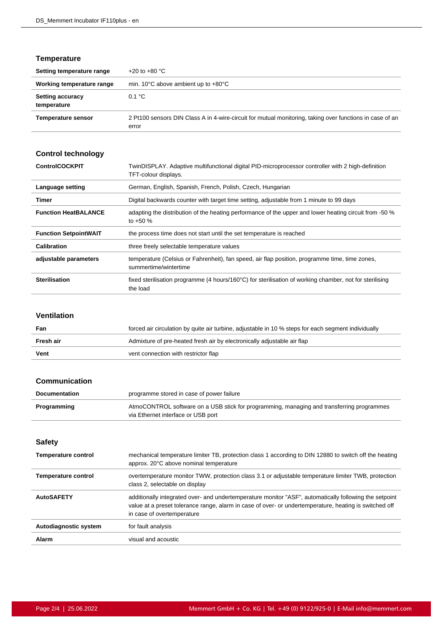#### **Temperature**

| Setting temperature range              | +20 to +80 $^{\circ}$ C                                                                                           |
|----------------------------------------|-------------------------------------------------------------------------------------------------------------------|
| Working temperature range              | min. 10 $\degree$ C above ambient up to $+80\degree$ C                                                            |
| <b>Setting accuracy</b><br>temperature | 0.1 °C                                                                                                            |
| <b>Temperature sensor</b>              | 2 Pt100 sensors DIN Class A in 4-wire-circuit for mutual monitoring, taking over functions in case of an<br>error |

### **Control technology**

| <b>ControlCOCKPIT</b>        | TwinDISPLAY. Adaptive multifunctional digital PID-microprocessor controller with 2 high-definition<br>TFT-colour displays. |
|------------------------------|----------------------------------------------------------------------------------------------------------------------------|
| Language setting             | German, English, Spanish, French, Polish, Czech, Hungarian                                                                 |
| Timer                        | Digital backwards counter with target time setting, adjustable from 1 minute to 99 days                                    |
| <b>Function HeatBALANCE</b>  | adapting the distribution of the heating performance of the upper and lower heating circuit from -50 %<br>to $+50%$        |
| <b>Function SetpointWAIT</b> | the process time does not start until the set temperature is reached                                                       |
| Calibration                  | three freely selectable temperature values                                                                                 |
| adjustable parameters        | temperature (Celsius or Fahrenheit), fan speed, air flap position, programme time, time zones,<br>summertime/wintertime    |
| <b>Sterilisation</b>         | fixed sterilisation programme (4 hours/160°C) for sterilisation of working chamber, not for sterilising<br>the load        |

#### **Ventilation**

| Fan       | forced air circulation by quite air turbine, adjustable in 10 % steps for each segment individually |
|-----------|-----------------------------------------------------------------------------------------------------|
| Fresh air | Admixture of pre-heated fresh air by electronically adjustable air flap                             |
| Vent      | vent connection with restrictor flap                                                                |

#### **Communication**

| <b>Documentation</b> | programme stored in case of power failure                                                                                       |
|----------------------|---------------------------------------------------------------------------------------------------------------------------------|
| Programming          | AtmoCONTROL software on a USB stick for programming, managing and transferring programmes<br>via Ethernet interface or USB port |

#### **Safety**

| <b>Temperature control</b> | mechanical temperature limiter TB, protection class 1 according to DIN 12880 to switch off the heating<br>approx. 20°C above nominal temperature                                                                                               |
|----------------------------|------------------------------------------------------------------------------------------------------------------------------------------------------------------------------------------------------------------------------------------------|
| <b>Temperature control</b> | overtemperature monitor TWW, protection class 3.1 or adjustable temperature limiter TWB, protection<br>class 2, selectable on display                                                                                                          |
| <b>AutoSAFETY</b>          | additionally integrated over- and undertemperature monitor "ASF", automatically following the setpoint<br>value at a preset tolerance range, alarm in case of over- or undertemperature, heating is switched off<br>in case of overtemperature |
| Autodiagnostic system      | for fault analysis                                                                                                                                                                                                                             |
| Alarm                      | visual and acoustic                                                                                                                                                                                                                            |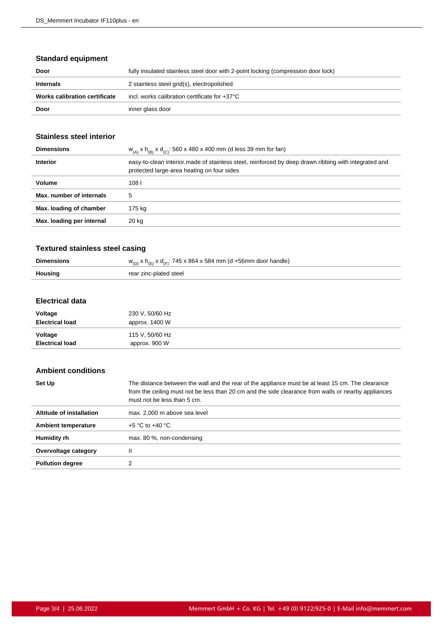#### **Standard equipment**

| Door                          | fully insulated stainless steel door with 2-point locking (compression door lock) |
|-------------------------------|-----------------------------------------------------------------------------------|
| <b>Internals</b>              | 2 stainless steel grid(s), electropolished                                        |
| Works calibration certificate | incl. works calibration certificate for $+37^{\circ}$ C                           |
| Door                          | inner glass door                                                                  |

#### **Stainless steel interior**

| $W_{(A)}$ x h <sub>(B)</sub> x d <sub>(C)</sub> : 560 x 480 x 400 mm (d less 39 mm for fan)                                                         |
|-----------------------------------------------------------------------------------------------------------------------------------------------------|
| easy-to-clean interior, made of stainless steel, reinforced by deep drawn ribbing with integrated and<br>protected large-area heating on four sides |
| 108                                                                                                                                                 |
| 5                                                                                                                                                   |
| 175 kg                                                                                                                                              |
| 20 kg                                                                                                                                               |
|                                                                                                                                                     |

#### **Textured stainless steel casing**

|                | $\overline{z}$ : 745 x 864 x 584 mm (d +56mm door handle)<br>vd<br>$W_{(D)}$ |
|----------------|------------------------------------------------------------------------------|
| <b>Housing</b> | rear zinc-plated steel                                                       |

#### **Electrical data**

| Voltage                | 230 V, 50/60 Hz |
|------------------------|-----------------|
| <b>Electrical load</b> | approx. 1400 W  |
| Voltage                | 115 V, 50/60 Hz |
| <b>Electrical load</b> | approx. 900 W   |

#### **Ambient conditions**

| Set Up                     | The distance between the wall and the rear of the appliance must be at least 15 cm. The clearance<br>from the ceiling must not be less than 20 cm and the side clearance from walls or nearby appliances<br>must not be less than 5 cm. |
|----------------------------|-----------------------------------------------------------------------------------------------------------------------------------------------------------------------------------------------------------------------------------------|
| Altitude of installation   | max. 2,000 m above sea level                                                                                                                                                                                                            |
| <b>Ambient temperature</b> | $+5$ °C to $+40$ °C                                                                                                                                                                                                                     |
| Humidity rh                | max. 80 %, non-condensing                                                                                                                                                                                                               |
| Overvoltage category       | II                                                                                                                                                                                                                                      |
| <b>Pollution degree</b>    |                                                                                                                                                                                                                                         |